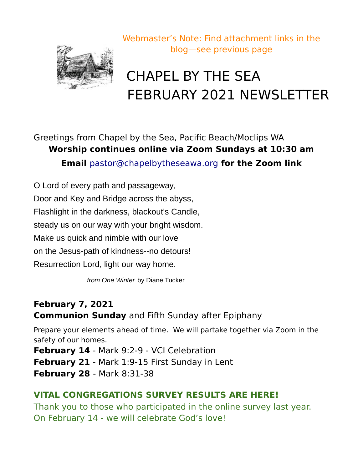

# CHAPEL BY THE SEA FEBRUARY 2021 NEWSLETTER

Greetings from Chapel by the Sea, Pacific Beach/Moclips WA **Worship continues online via Zoom Sundays at 10:30 am Email** [pastor@chapelbytheseawa.org](mailto:pastor@chapelbytheseawa.org) **for the Zoom link**

O Lord of every path and passageway, Door and Key and Bridge across the abyss, Flashlight in the darkness, blackout's Candle, steady us on our way with your bright wisdom. Make us quick and nimble with our love on the Jesus-path of kindness--no detours! Resurrection Lord, light our way home.

*from One Winter* by Diane Tucker

#### **February 7, 2021 Communion Sunday** and Fifth Sunday after Epiphany

Prepare your elements ahead of time. We will partake together via Zoom in the safety of our homes.

**February 14** - Mark 9:2-9 - VCI Celebration **February 21** - Mark 1:9-15 First Sunday in Lent **February 28** - Mark 8:31-38

#### **VITAL CONGREGATIONS SURVEY RESULTS ARE HERE!**

Thank you to those who participated in the online survey last year. On February 14 - we will celebrate God's love!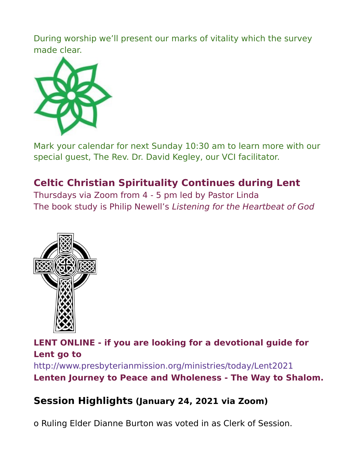During worship we'll present our marks of vitality which the survey made clear.



Mark your calendar for next Sunday 10:30 am to learn more with our special guest, The Rev. Dr. David Kegley, our VCI facilitator.

## **Celtic Christian Spirituality Continues during Lent**

Thursdays via Zoom from 4 - 5 pm led by Pastor Linda The book study is Philip Newell's Listening for the Heartbeat of God



**LENT ONLINE - if you are looking for a devotional guide for Lent go to**  http://www.presbyterianmission.org/ministries/today/Lent2021 **Lenten Journey to Peace and Wholeness - The Way to Shalom.**

#### **Session Highlights (January 24, 2021 via Zoom)**

o Ruling Elder Dianne Burton was voted in as Clerk of Session.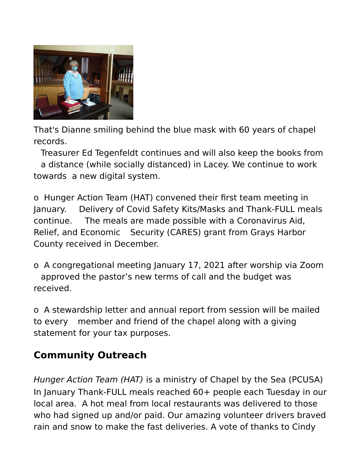

That's Dianne smiling behind the blue mask with 60 years of chapel records.

Treasurer Ed Tegenfeldt continues and will also keep the books from a distance (while socially distanced) in Lacey. We continue to work towards a new digital system.

o Hunger Action Team (HAT) convened their first team meeting in January. Delivery of Covid Safety Kits/Masks and Thank-FULL meals continue. The meals are made possible with a Coronavirus Aid, Relief, and Economic Security (CARES) grant from Grays Harbor County received in December.

o A congregational meeting January 17, 2021 after worship via Zoom approved the pastor's new terms of call and the budget was received.

o A stewardship letter and annual report from session will be mailed to every member and friend of the chapel along with a giving statement for your tax purposes.

### **Community Outreach**

Hunger Action Team (HAT) is a ministry of Chapel by the Sea (PCUSA) In January Thank-FULL meals reached 60+ people each Tuesday in our local area. A hot meal from local restaurants was delivered to those who had signed up and/or paid. Our amazing volunteer drivers braved rain and snow to make the fast deliveries. A vote of thanks to Cindy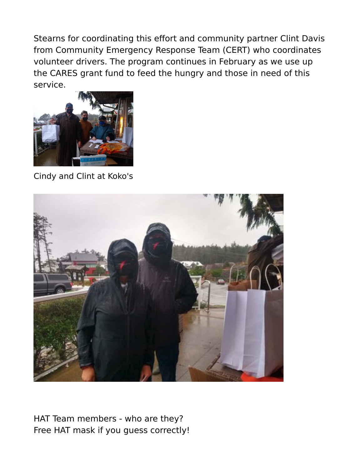Stearns for coordinating this effort and community partner Clint Davis from Community Emergency Response Team (CERT) who coordinates volunteer drivers. The program continues in February as we use up the CARES grant fund to feed the hungry and those in need of this service.



Cindy and Clint at Koko's



HAT Team members - who are they? Free HAT mask if you guess correctly!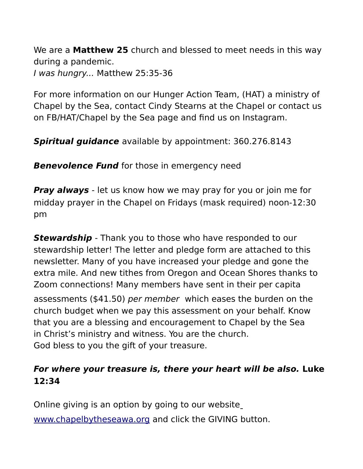We are a **Matthew 25** church and blessed to meet needs in this way during a pandemic. I was hungry... Matthew 25:35-36

For more information on our Hunger Action Team, (HAT) a ministry of Chapel by the Sea, contact Cindy Stearns at the Chapel or contact us on FB/HAT/Chapel by the Sea page and find us on Instagram.

**Spiritual guidance** available by appointment: 360.276.8143

**Benevolence Fund** for those in emergency need

**Pray always** - let us know how we may pray for you or join me for midday prayer in the Chapel on Fridays (mask required) noon-12:30 pm

**Stewardship** - Thank you to those who have responded to our stewardship letter! The letter and pledge form are attached to this newsletter. Many of you have increased your pledge and gone the extra mile. And new tithes from Oregon and Ocean Shores thanks to Zoom connections! Many members have sent in their per capita assessments (\$41.50) per member which eases the burden on the church budget when we pay this assessment on your behalf. Know that you are a blessing and encouragement to Chapel by the Sea in Christ's ministry and witness. You are the church. God bless to you the gift of your treasure.

#### **For where your treasure is, there your heart will be also. Luke 12:34**

Online giving is an option by going to our website [www.chapelbytheseawa.org](http://www.chapelbytheseawa.org/) and click the GIVING button.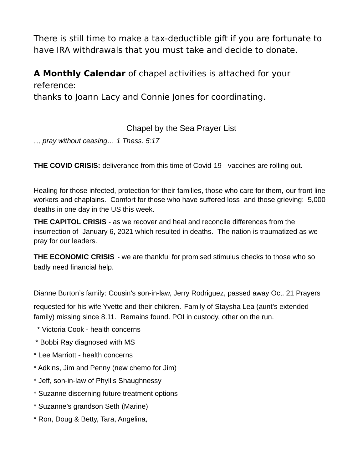There is still time to make a tax-deductible gift if you are fortunate to have IRA withdrawals that you must take and decide to donate.

**A Monthly Calendar** of chapel activities is attached for your reference:

thanks to Joann Lacy and Connie Jones for coordinating.

Chapel by the Sea Prayer List

… *pray without ceasing… 1 Thess. 5:17*

**THE COVID CRISIS:** deliverance from this time of Covid-19 - vaccines are rolling out.

Healing for those infected, protection for their families, those who care for them, our front line workers and chaplains. Comfort for those who have suffered loss and those grieving: 5,000 deaths in one day in the US this week.

**THE CAPITOL CRISIS** - as we recover and heal and reconcile differences from the insurrection of January 6, 2021 which resulted in deaths. The nation is traumatized as we pray for our leaders.

**THE ECONOMIC CRISIS** - we are thankful for promised stimulus checks to those who so badly need financial help.

Dianne Burton's family: Cousin's son-in-law, Jerry Rodriguez, passed away Oct. 21 Prayers

requested for his wife Yvette and their children. Family of Staysha Lea (aunt's extended family) missing since 8.11. Remains found. POI in custody, other on the run.

- \* Victoria Cook health concerns
- \* Bobbi Ray diagnosed with MS
- \* Lee Marriott health concerns
- \* Adkins, Jim and Penny (new chemo for Jim)
- \* Jeff, son-in-law of Phyllis Shaughnessy
- \* Suzanne discerning future treatment options
- \* Suzanne's grandson Seth (Marine)
- \* Ron, Doug & Betty, Tara, Angelina,